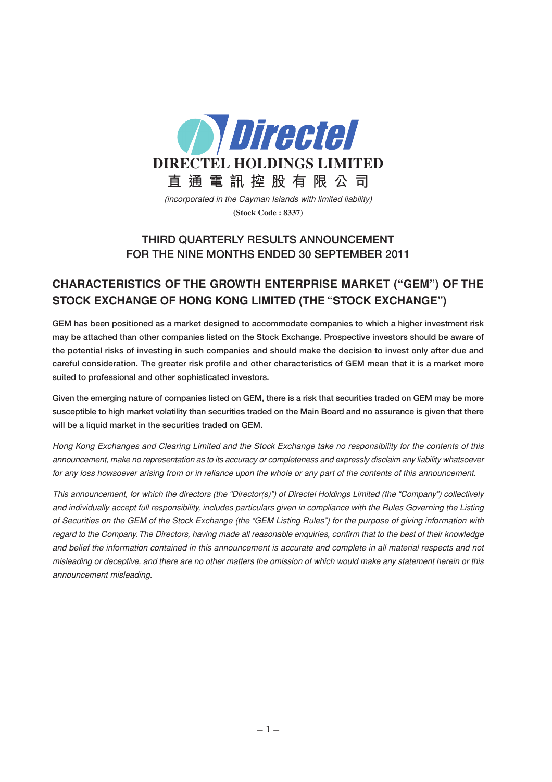

(incorporated in the Cayman Islands with limited liability) **(Stock Code : 8337)**

# **THIRD QUARTERLY RESULTS ANNOUNCEMENT FOR THE NINE MONTHS ENDED 30 SEPTEMBER 2011**

# **CHARACTERISTICS OF THE GROWTH ENTERPRISE MARKET ("GEM") OF THE STOCK EXCHANGE OF HONG KONG LIMITED (THE "STOCK EXCHANGE")**

**GEM has been positioned as a market designed to accommodate companies to which a higher investment risk may be attached than other companies listed on the Stock Exchange. Prospective investors should be aware of the potential risks of investing in such companies and should make the decision to invest only after due and careful consideration. The greater risk profile and other characteristics of GEM mean that it is a market more suited to professional and other sophisticated investors.**

**Given the emerging nature of companies listed on GEM, there is a risk that securities traded on GEM may be more susceptible to high market volatility than securities traded on the Main Board and no assurance is given that there will be a liquid market in the securities traded on GEM.**

Hong Kong Exchanges and Clearing Limited and the Stock Exchange take no responsibility for the contents of this announcement, make no representation as to its accuracy or completeness and expressly disclaim any liability whatsoever for any loss howsoever arising from or in reliance upon the whole or any part of the contents of this announcement.

This announcement, for which the directors (the "Director(s)") of Directel Holdings Limited (the "Company") collectively and individually accept full responsibility, includes particulars given in compliance with the Rules Governing the Listing of Securities on the GEM of the Stock Exchange (the "GEM Listing Rules") for the purpose of giving information with regard to the Company. The Directors, having made all reasonable enquiries, confirm that to the best of their knowledge and belief the information contained in this announcement is accurate and complete in all material respects and not misleading or deceptive, and there are no other matters the omission of which would make any statement herein or this announcement misleading.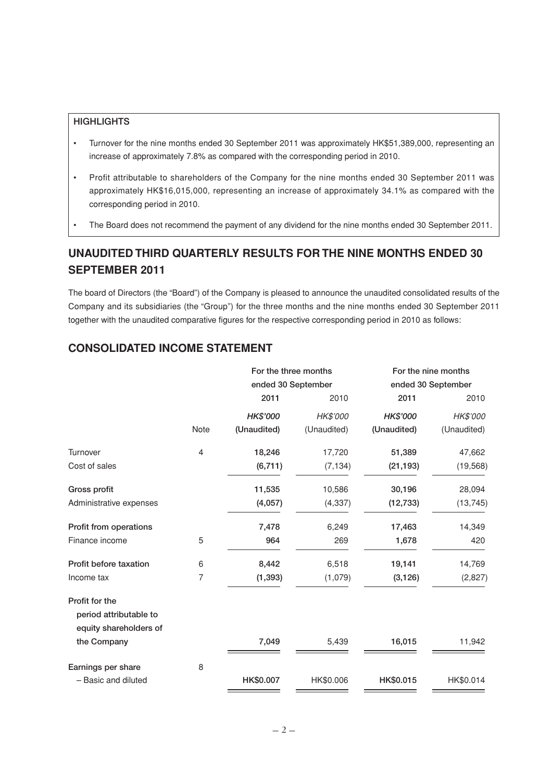### **HIGHLIGHTS**

- Turnover for the nine months ended 30 September 2011 was approximately HK\$51,389,000, representing an increase of approximately 7.8% as compared with the corresponding period in 2010.
- Profit attributable to shareholders of the Company for the nine months ended 30 September 2011 was approximately HK\$16,015,000, representing an increase of approximately 34.1% as compared with the corresponding period in 2010.
- The Board does not recommend the payment of any dividend for the nine months ended 30 September 2011.

# **UNAUDITED THIRD QUARTERLY RESULTS FOR THE NINE MONTHS ENDED 30 SEPTEMBER 2011**

The board of Directors (the "Board") of the Company is pleased to announce the unaudited consolidated results of the Company and its subsidiaries (the "Group") for the three months and the nine months ended 30 September 2011 together with the unaudited comparative figures for the respective corresponding period in 2010 as follows:

### **CONSOLIDATED INCOME STATEMENT**

|                                          |      | For the three months |                    | For the nine months |                    |  |
|------------------------------------------|------|----------------------|--------------------|---------------------|--------------------|--|
|                                          |      |                      | ended 30 September |                     | ended 30 September |  |
|                                          |      | 2011                 | 2010               | 2011                | 2010               |  |
|                                          |      | HK\$'000             | HK\$'000           | HK\$'000            | HK\$'000           |  |
|                                          | Note | (Unaudited)          | (Unaudited)        | (Unaudited)         | (Unaudited)        |  |
| Turnover                                 | 4    | 18,246               | 17,720             | 51,389              | 47,662             |  |
| Cost of sales                            |      | (6, 711)             | (7, 134)           | (21, 193)           | (19, 568)          |  |
| Gross profit                             |      | 11,535               | 10,586             | 30,196              | 28,094             |  |
| Administrative expenses                  |      | (4,057)              | (4, 337)           | (12, 733)           | (13, 745)          |  |
| Profit from operations                   |      | 7,478                | 6,249              | 17,463              | 14,349             |  |
| Finance income                           | 5    | 964                  | 269                | 1,678               | 420                |  |
| Profit before taxation                   | 6    | 8,442                | 6,518              | 19,141              | 14,769             |  |
| Income tax                               | 7    | (1, 393)             | (1,079)            | (3, 126)            | (2,827)            |  |
| Profit for the<br>period attributable to |      |                      |                    |                     |                    |  |
| equity shareholders of                   |      |                      |                    |                     |                    |  |
| the Company                              |      | 7,049                | 5,439              | 16,015              | 11,942             |  |
| Earnings per share                       | 8    |                      |                    |                     |                    |  |
| - Basic and diluted                      |      | HK\$0.007            | HK\$0.006          | HK\$0.015           | HK\$0.014          |  |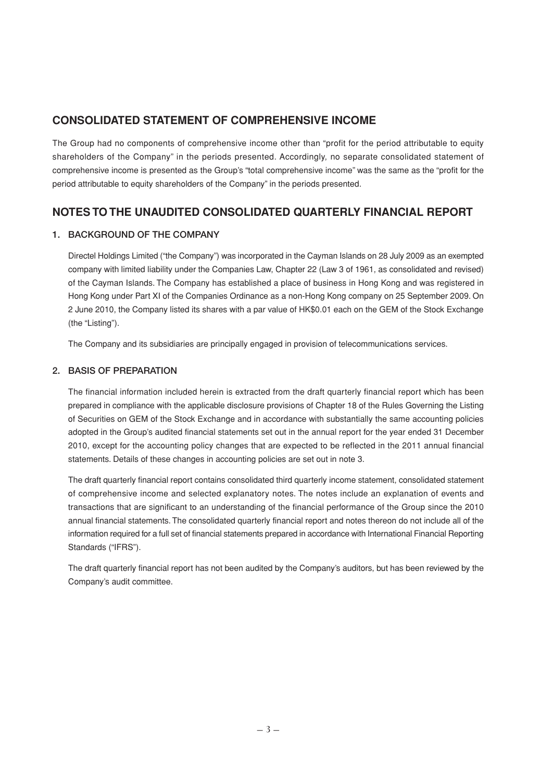# **CONSOLIDATED STATEMENT OF COMPREHENSIVE INCOME**

The Group had no components of comprehensive income other than "profit for the period attributable to equity shareholders of the Company" in the periods presented. Accordingly, no separate consolidated statement of comprehensive income is presented as the Group's "total comprehensive income" was the same as the "profit for the period attributable to equity shareholders of the Company" in the periods presented.

## **NOTES TO THE UNAUDITED CONSOLIDATED QUARTERLY FINANCIAL REPORT**

### **1. BACKGROUND OF THE COMPANY**

Directel Holdings Limited ("the Company") was incorporated in the Cayman Islands on 28 July 2009 as an exempted company with limited liability under the Companies Law, Chapter 22 (Law 3 of 1961, as consolidated and revised) of the Cayman Islands. The Company has established a place of business in Hong Kong and was registered in Hong Kong under Part XI of the Companies Ordinance as a non-Hong Kong company on 25 September 2009. On 2 June 2010, the Company listed its shares with a par value of HK\$0.01 each on the GEM of the Stock Exchange (the "Listing").

The Company and its subsidiaries are principally engaged in provision of telecommunications services.

### **2. BASIS OF PREPARATION**

The financial information included herein is extracted from the draft quarterly financial report which has been prepared in compliance with the applicable disclosure provisions of Chapter 18 of the Rules Governing the Listing of Securities on GEM of the Stock Exchange and in accordance with substantially the same accounting policies adopted in the Group's audited financial statements set out in the annual report for the year ended 31 December 2010, except for the accounting policy changes that are expected to be reflected in the 2011 annual financial statements. Details of these changes in accounting policies are set out in note 3.

The draft quarterly financial report contains consolidated third quarterly income statement, consolidated statement of comprehensive income and selected explanatory notes. The notes include an explanation of events and transactions that are significant to an understanding of the financial performance of the Group since the 2010 annual financial statements. The consolidated quarterly financial report and notes thereon do not include all of the information required for a full set of financial statements prepared in accordance with International Financial Reporting Standards ("IFRS").

The draft quarterly financial report has not been audited by the Company's auditors, but has been reviewed by the Company's audit committee.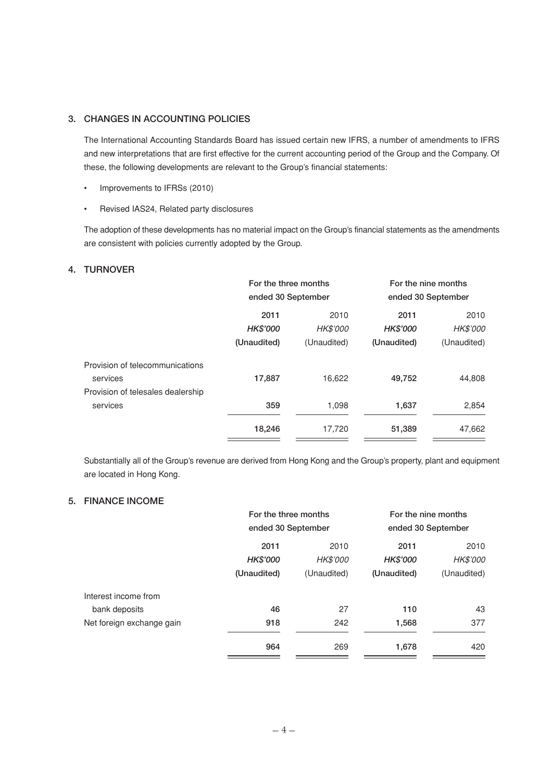### **3. CHANGES IN ACCOUNTING POLICIES**

The International Accounting Standards Board has issued certain new IFRS, a number of amendments to IFRS and new interpretations that are first effective for the current accounting period of the Group and the Company. Of these, the following developments are relevant to the Group's financial statements:

- Improvements to IFRSs (2010)
- Revised IAS24, Related party disclosures

The adoption of these developments has no material impact on the Group's financial statements as the amendments are consistent with policies currently adopted by the Group.

#### **4. TURNOVER**

|                                   | For the three months<br>ended 30 September |             |                    | For the nine months |  |
|-----------------------------------|--------------------------------------------|-------------|--------------------|---------------------|--|
|                                   |                                            |             | ended 30 September |                     |  |
|                                   | 2011                                       | 2010        | 2011               | 2010                |  |
|                                   | <b>HK\$'000</b>                            | HK\$'000    | <b>HK\$'000</b>    | HK\$'000            |  |
|                                   | (Unaudited)                                | (Unaudited) | (Unaudited)        | (Unaudited)         |  |
| Provision of telecommunications   |                                            |             |                    |                     |  |
| services                          | 17,887                                     | 16,622      | 49,752             | 44,808              |  |
| Provision of telesales dealership |                                            |             |                    |                     |  |
| services                          | 359                                        | 1,098       | 1,637              | 2,854               |  |
|                                   | 18,246                                     | 17,720      | 51,389             | 47,662              |  |

Substantially all of the Group's revenue are derived from Hong Kong and the Group's property, plant and equipment are located in Hong Kong.

#### **5. FINANCE INCOME**

|                           | For the three months<br>ended 30 September |                 | For the nine months<br>ended 30 September |                 |
|---------------------------|--------------------------------------------|-----------------|-------------------------------------------|-----------------|
|                           |                                            |                 |                                           |                 |
|                           | 2011                                       | 2010            | 2011                                      | 2010            |
|                           | HK\$'000                                   | <b>HK\$'000</b> | <b>HK\$'000</b>                           | <b>HK\$'000</b> |
|                           | (Unaudited)                                | (Unaudited)     | (Unaudited)                               | (Unaudited)     |
| Interest income from      |                                            |                 |                                           |                 |
| bank deposits             | 46                                         | 27              | 110                                       | 43              |
| Net foreign exchange gain | 918                                        | 242             | 1,568                                     | 377             |
|                           | 964                                        | 269             | 1,678                                     | 420             |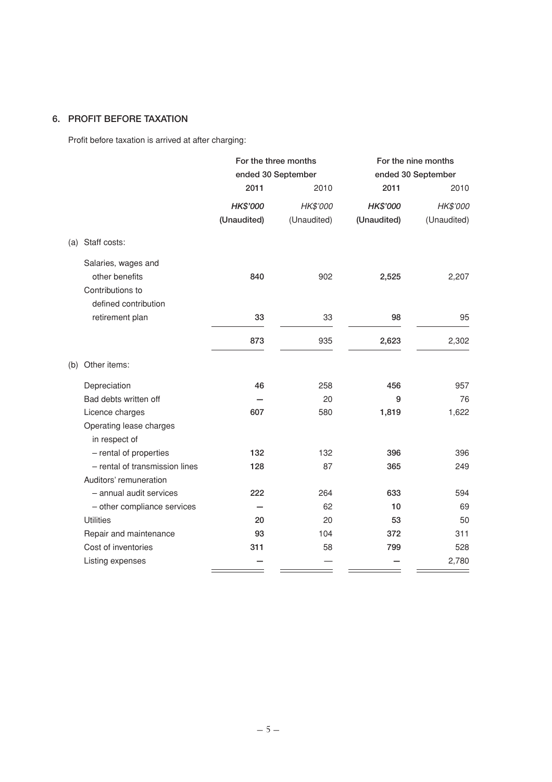## **6. PROFIT BEFORE TAXATION**

Profit before taxation is arrived at after charging:

|                     |                                | For the three months<br>ended 30 September |             |             | For the nine months |  |
|---------------------|--------------------------------|--------------------------------------------|-------------|-------------|---------------------|--|
|                     |                                |                                            |             |             | ended 30 September  |  |
|                     |                                | 2011                                       | 2010        | 2011        | 2010                |  |
|                     |                                | HK\$'000                                   | HK\$'000    | HK\$'000    | HK\$'000            |  |
|                     |                                | (Unaudited)                                | (Unaudited) | (Unaudited) | (Unaudited)         |  |
| Staff costs:<br>(a) |                                |                                            |             |             |                     |  |
|                     | Salaries, wages and            |                                            |             |             |                     |  |
|                     | other benefits                 | 840                                        | 902         | 2,525       | 2,207               |  |
|                     | Contributions to               |                                            |             |             |                     |  |
|                     | defined contribution           |                                            |             |             |                     |  |
|                     | retirement plan                | 33                                         | 33          | 98          | 95                  |  |
|                     |                                | 873                                        | 935         | 2,623       | 2,302               |  |
| Other items:<br>(b) |                                |                                            |             |             |                     |  |
| Depreciation        |                                | 46                                         | 258         | 456         | 957                 |  |
|                     | Bad debts written off          |                                            | 20          | 9           | 76                  |  |
|                     | Licence charges                | 607                                        | 580         | 1,819       | 1,622               |  |
|                     | Operating lease charges        |                                            |             |             |                     |  |
|                     | in respect of                  |                                            |             |             |                     |  |
|                     | - rental of properties         | 132                                        | 132         | 396         | 396                 |  |
|                     | - rental of transmission lines | 128                                        | 87          | 365         | 249                 |  |
|                     | Auditors' remuneration         |                                            |             |             |                     |  |
|                     | - annual audit services        | 222                                        | 264         | 633         | 594                 |  |
|                     | - other compliance services    |                                            | 62          | 10          | 69                  |  |
| <b>Utilities</b>    |                                | 20                                         | 20          | 53          | 50                  |  |
|                     | Repair and maintenance         | 93                                         | 104         | 372         | 311                 |  |
|                     | Cost of inventories            | 311                                        | 58          | 799         | 528                 |  |
|                     | Listing expenses               |                                            |             |             | 2,780               |  |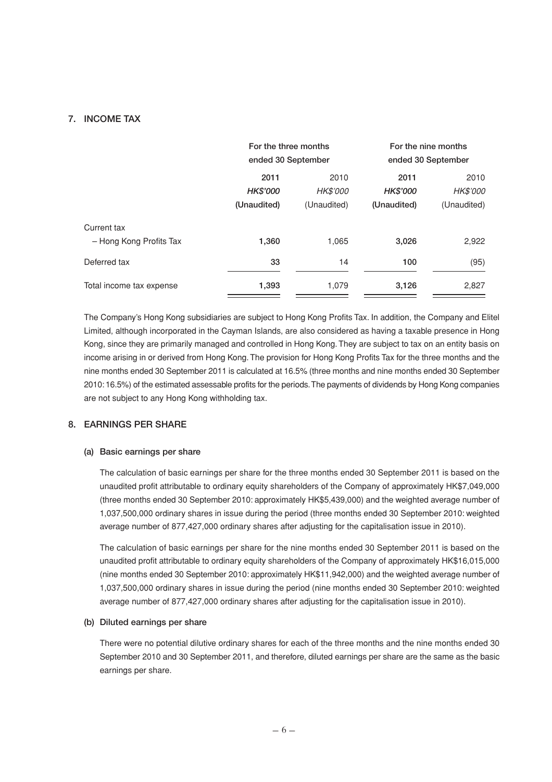### **7. INCOME TAX**

|                          | For the three months |                    | For the nine months |                    |  |
|--------------------------|----------------------|--------------------|---------------------|--------------------|--|
|                          |                      | ended 30 September |                     | ended 30 September |  |
|                          | 2011                 | 2010               | 2011                | 2010               |  |
|                          | <b>HK\$'000</b>      | HK\$'000           | <b>HK\$'000</b>     | <b>HK\$'000</b>    |  |
|                          | (Unaudited)          | (Unaudited)        | (Unaudited)         | (Unaudited)        |  |
| Current tax              |                      |                    |                     |                    |  |
| - Hong Kong Profits Tax  | 1,360                | 1,065              | 3,026               | 2,922              |  |
| Deferred tax             | 33                   | 14                 | 100                 | (95)               |  |
| Total income tax expense | 1,393                | 1,079              | 3,126               | 2,827              |  |

The Company's Hong Kong subsidiaries are subject to Hong Kong Profits Tax. In addition, the Company and Elitel Limited, although incorporated in the Cayman Islands, are also considered as having a taxable presence in Hong Kong, since they are primarily managed and controlled in Hong Kong. They are subject to tax on an entity basis on income arising in or derived from Hong Kong. The provision for Hong Kong Profits Tax for the three months and the nine months ended 30 September 2011 is calculated at 16.5% (three months and nine months ended 30 September 2010: 16.5%) of the estimated assessable profits for the periods. The payments of dividends by Hong Kong companies are not subject to any Hong Kong withholding tax.

### **8. EARNINGS PER SHARE**

#### **(a) Basic earnings per share**

The calculation of basic earnings per share for the three months ended 30 September 2011 is based on the unaudited profit attributable to ordinary equity shareholders of the Company of approximately HK\$7,049,000 (three months ended 30 September 2010: approximately HK\$5,439,000) and the weighted average number of 1,037,500,000 ordinary shares in issue during the period (three months ended 30 September 2010: weighted average number of 877,427,000 ordinary shares after adjusting for the capitalisation issue in 2010).

The calculation of basic earnings per share for the nine months ended 30 September 2011 is based on the unaudited profit attributable to ordinary equity shareholders of the Company of approximately HK\$16,015,000 (nine months ended 30 September 2010: approximately HK\$11,942,000) and the weighted average number of 1,037,500,000 ordinary shares in issue during the period (nine months ended 30 September 2010: weighted average number of 877,427,000 ordinary shares after adjusting for the capitalisation issue in 2010).

#### **(b) Diluted earnings per share**

There were no potential dilutive ordinary shares for each of the three months and the nine months ended 30 September 2010 and 30 September 2011, and therefore, diluted earnings per share are the same as the basic earnings per share.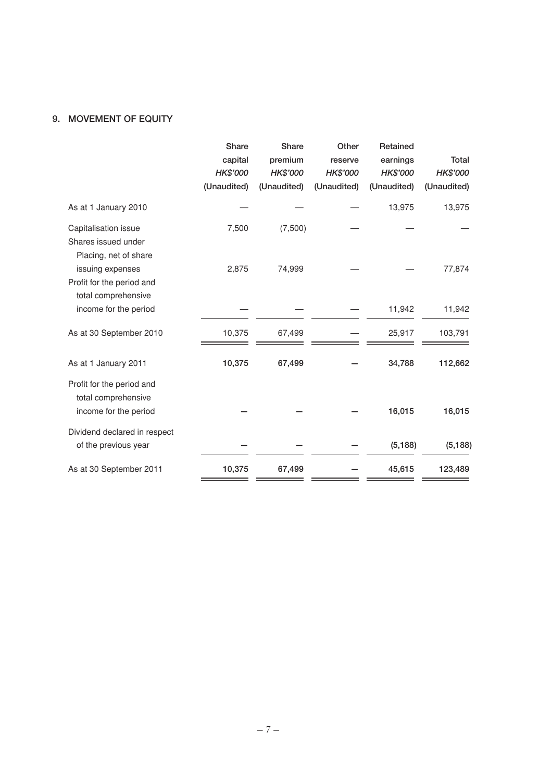### **9. MOVEMENT OF EQUITY**

|                                                                           | Share<br>capital<br>HK\$'000<br>(Unaudited) | <b>Share</b><br>premium<br>HK\$'000<br>(Unaudited) | Other<br>reserve<br>HK\$'000<br>(Unaudited) | Retained<br>earnings<br>HK\$'000<br>(Unaudited) | <b>Total</b><br>HK\$'000<br>(Unaudited) |
|---------------------------------------------------------------------------|---------------------------------------------|----------------------------------------------------|---------------------------------------------|-------------------------------------------------|-----------------------------------------|
| As at 1 January 2010                                                      |                                             |                                                    |                                             | 13,975                                          | 13,975                                  |
| Capitalisation issue<br>Shares issued under<br>Placing, net of share      | 7,500                                       | (7,500)                                            |                                             |                                                 |                                         |
| issuing expenses<br>Profit for the period and<br>total comprehensive      | 2,875                                       | 74,999                                             |                                             |                                                 | 77,874                                  |
| income for the period                                                     |                                             |                                                    |                                             | 11,942                                          | 11,942                                  |
| As at 30 September 2010                                                   | 10,375                                      | 67,499                                             |                                             | 25,917                                          | 103,791                                 |
| As at 1 January 2011                                                      | 10,375                                      | 67,499                                             |                                             | 34,788                                          | 112,662                                 |
| Profit for the period and<br>total comprehensive<br>income for the period |                                             |                                                    |                                             | 16,015                                          | 16,015                                  |
| Dividend declared in respect<br>of the previous year                      |                                             |                                                    |                                             | (5, 188)                                        | (5, 188)                                |
| As at 30 September 2011                                                   | 10,375                                      | 67,499                                             |                                             | 45,615                                          | 123,489                                 |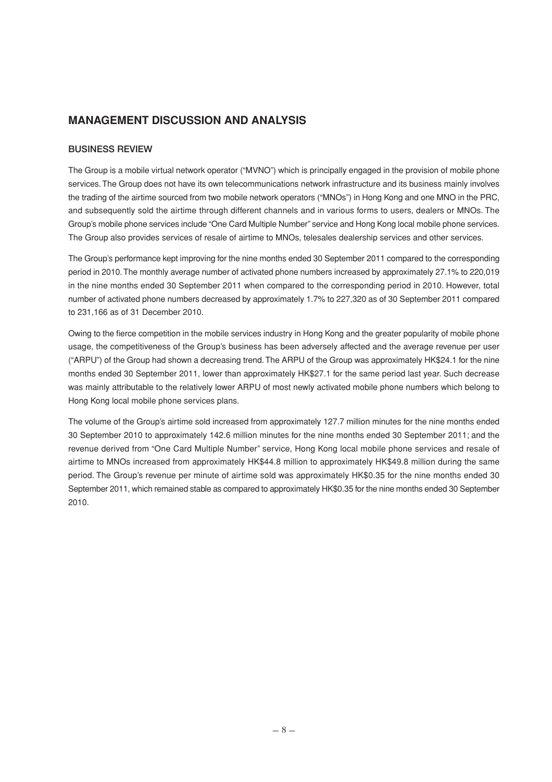## **MANAGEMENT DISCUSSION AND ANALYSIS**

### **BUSINESS REVIEW**

The Group is a mobile virtual network operator ("MVNO") which is principally engaged in the provision of mobile phone services. The Group does not have its own telecommunications network infrastructure and its business mainly involves the trading of the airtime sourced from two mobile network operators ("MNOs") in Hong Kong and one MNO in the PRC, and subsequently sold the airtime through different channels and in various forms to users, dealers or MNOs. The Group's mobile phone services include "One Card Multiple Number" service and Hong Kong local mobile phone services. The Group also provides services of resale of airtime to MNOs, telesales dealership services and other services.

The Group's performance kept improving for the nine months ended 30 September 2011 compared to the corresponding period in 2010. The monthly average number of activated phone numbers increased by approximately 27.1% to 220,019 in the nine months ended 30 September 2011 when compared to the corresponding period in 2010. However, total number of activated phone numbers decreased by approximately 1.7% to 227,320 as of 30 September 2011 compared to 231,166 as of 31 December 2010.

Owing to the fierce competition in the mobile services industry in Hong Kong and the greater popularity of mobile phone usage, the competitiveness of the Group's business has been adversely affected and the average revenue per user ("ARPU") of the Group had shown a decreasing trend. The ARPU of the Group was approximately HK\$24.1 for the nine months ended 30 September 2011, lower than approximately HK\$27.1 for the same period last year. Such decrease was mainly attributable to the relatively lower ARPU of most newly activated mobile phone numbers which belong to Hong Kong local mobile phone services plans.

The volume of the Group's airtime sold increased from approximately 127.7 million minutes for the nine months ended 30 September 2010 to approximately 142.6 million minutes for the nine months ended 30 September 2011; and the revenue derived from "One Card Multiple Number" service, Hong Kong local mobile phone services and resale of airtime to MNOs increased from approximately HK\$44.8 million to approximately HK\$49.8 million during the same period. The Group's revenue per minute of airtime sold was approximately HK\$0.35 for the nine months ended 30 September 2011, which remained stable as compared to approximately HK\$0.35 for the nine months ended 30 September 2010.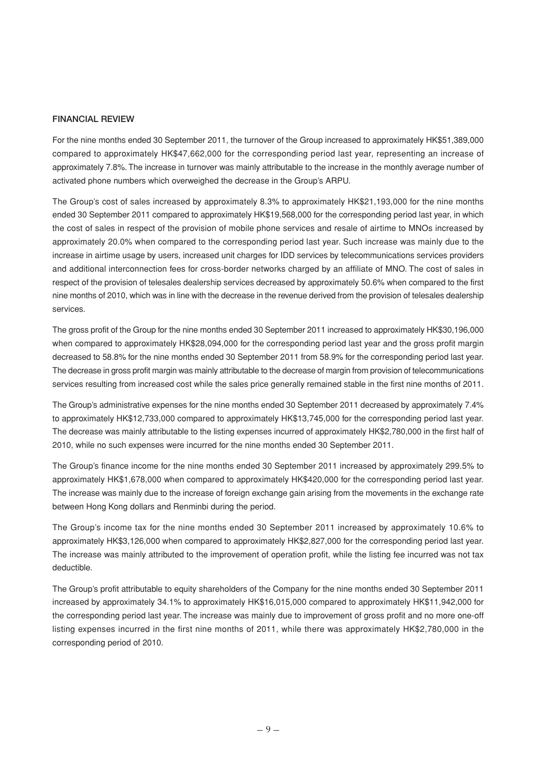#### **FINANCIAL REVIEW**

For the nine months ended 30 September 2011, the turnover of the Group increased to approximately HK\$51,389,000 compared to approximately HK\$47,662,000 for the corresponding period last year, representing an increase of approximately 7.8%. The increase in turnover was mainly attributable to the increase in the monthly average number of activated phone numbers which overweighed the decrease in the Group's ARPU.

The Group's cost of sales increased by approximately 8.3% to approximately HK\$21,193,000 for the nine months ended 30 September 2011 compared to approximately HK\$19,568,000 for the corresponding period last year, in which the cost of sales in respect of the provision of mobile phone services and resale of airtime to MNOs increased by approximately 20.0% when compared to the corresponding period last year. Such increase was mainly due to the increase in airtime usage by users, increased unit charges for IDD services by telecommunications services providers and additional interconnection fees for cross-border networks charged by an affiliate of MNO. The cost of sales in respect of the provision of telesales dealership services decreased by approximately 50.6% when compared to the first nine months of 2010, which was in line with the decrease in the revenue derived from the provision of telesales dealership services.

The gross profit of the Group for the nine months ended 30 September 2011 increased to approximately HK\$30,196,000 when compared to approximately HK\$28,094,000 for the corresponding period last year and the gross profit margin decreased to 58.8% for the nine months ended 30 September 2011 from 58.9% for the corresponding period last year. The decrease in gross profit margin was mainly attributable to the decrease of margin from provision of telecommunications services resulting from increased cost while the sales price generally remained stable in the first nine months of 2011.

The Group's administrative expenses for the nine months ended 30 September 2011 decreased by approximately 7.4% to approximately HK\$12,733,000 compared to approximately HK\$13,745,000 for the corresponding period last year. The decrease was mainly attributable to the listing expenses incurred of approximately HK\$2,780,000 in the first half of 2010, while no such expenses were incurred for the nine months ended 30 September 2011.

The Group's finance income for the nine months ended 30 September 2011 increased by approximately 299.5% to approximately HK\$1,678,000 when compared to approximately HK\$420,000 for the corresponding period last year. The increase was mainly due to the increase of foreign exchange gain arising from the movements in the exchange rate between Hong Kong dollars and Renminbi during the period.

The Group's income tax for the nine months ended 30 September 2011 increased by approximately 10.6% to approximately HK\$3,126,000 when compared to approximately HK\$2,827,000 for the corresponding period last year. The increase was mainly attributed to the improvement of operation profit, while the listing fee incurred was not tax deductible.

The Group's profit attributable to equity shareholders of the Company for the nine months ended 30 September 2011 increased by approximately 34.1% to approximately HK\$16,015,000 compared to approximately HK\$11,942,000 for the corresponding period last year. The increase was mainly due to improvement of gross profit and no more one-off listing expenses incurred in the first nine months of 2011, while there was approximately HK\$2,780,000 in the corresponding period of 2010.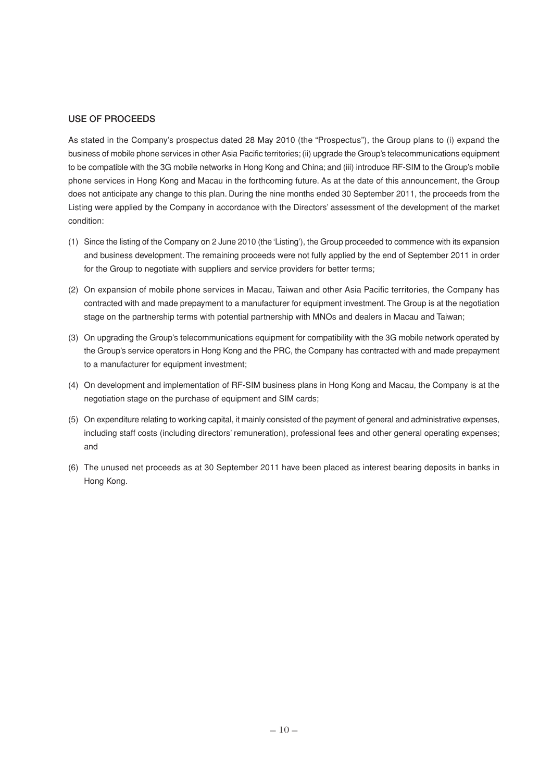#### **USE OF PROCEEDS**

As stated in the Company's prospectus dated 28 May 2010 (the "Prospectus"), the Group plans to (i) expand the business of mobile phone services in other Asia Pacific territories; (ii) upgrade the Group's telecommunications equipment to be compatible with the 3G mobile networks in Hong Kong and China; and (iii) introduce RF-SIM to the Group's mobile phone services in Hong Kong and Macau in the forthcoming future. As at the date of this announcement, the Group does not anticipate any change to this plan. During the nine months ended 30 September 2011, the proceeds from the Listing were applied by the Company in accordance with the Directors' assessment of the development of the market condition:

- (1) Since the listing of the Company on 2 June 2010 (the 'Listing'), the Group proceeded to commence with its expansion and business development. The remaining proceeds were not fully applied by the end of September 2011 in order for the Group to negotiate with suppliers and service providers for better terms;
- (2) On expansion of mobile phone services in Macau, Taiwan and other Asia Pacific territories, the Company has contracted with and made prepayment to a manufacturer for equipment investment. The Group is at the negotiation stage on the partnership terms with potential partnership with MNOs and dealers in Macau and Taiwan;
- (3) On upgrading the Group's telecommunications equipment for compatibility with the 3G mobile network operated by the Group's service operators in Hong Kong and the PRC, the Company has contracted with and made prepayment to a manufacturer for equipment investment;
- (4) On development and implementation of RF-SIM business plans in Hong Kong and Macau, the Company is at the negotiation stage on the purchase of equipment and SIM cards;
- (5) On expenditure relating to working capital, it mainly consisted of the payment of general and administrative expenses, including staff costs (including directors' remuneration), professional fees and other general operating expenses; and
- (6) The unused net proceeds as at 30 September 2011 have been placed as interest bearing deposits in banks in Hong Kong.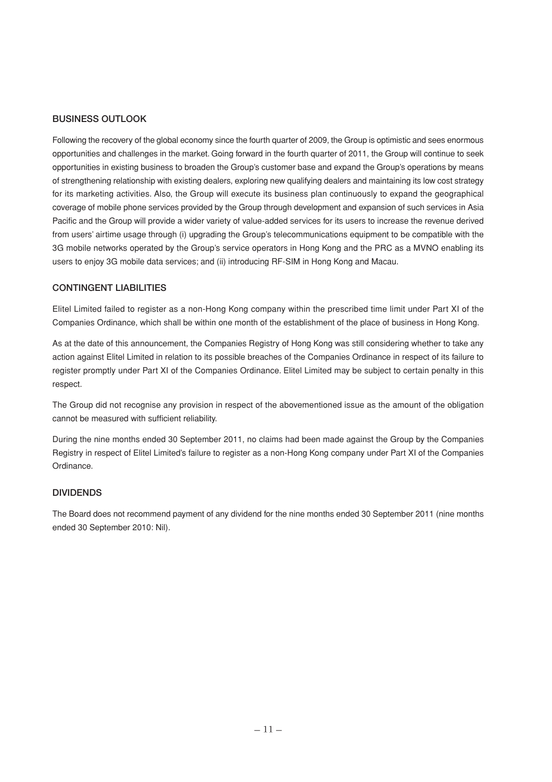### **BUSINESS OUTLOOK**

Following the recovery of the global economy since the fourth quarter of 2009, the Group is optimistic and sees enormous opportunities and challenges in the market. Going forward in the fourth quarter of 2011, the Group will continue to seek opportunities in existing business to broaden the Group's customer base and expand the Group's operations by means of strengthening relationship with existing dealers, exploring new qualifying dealers and maintaining its low cost strategy for its marketing activities. Also, the Group will execute its business plan continuously to expand the geographical coverage of mobile phone services provided by the Group through development and expansion of such services in Asia Pacific and the Group will provide a wider variety of value-added services for its users to increase the revenue derived from users' airtime usage through (i) upgrading the Group's telecommunications equipment to be compatible with the 3G mobile networks operated by the Group's service operators in Hong Kong and the PRC as a MVNO enabling its users to enjoy 3G mobile data services; and (ii) introducing RF-SIM in Hong Kong and Macau.

### **CONTINGENT LIABILITIES**

Elitel Limited failed to register as a non-Hong Kong company within the prescribed time limit under Part XI of the Companies Ordinance, which shall be within one month of the establishment of the place of business in Hong Kong.

As at the date of this announcement, the Companies Registry of Hong Kong was still considering whether to take any action against Elitel Limited in relation to its possible breaches of the Companies Ordinance in respect of its failure to register promptly under Part XI of the Companies Ordinance. Elitel Limited may be subject to certain penalty in this respect.

The Group did not recognise any provision in respect of the abovementioned issue as the amount of the obligation cannot be measured with sufficient reliability.

During the nine months ended 30 September 2011, no claims had been made against the Group by the Companies Registry in respect of Elitel Limited's failure to register as a non-Hong Kong company under Part XI of the Companies Ordinance.

### **DIVIDENDS**

The Board does not recommend payment of any dividend for the nine months ended 30 September 2011 (nine months ended 30 September 2010: Nil).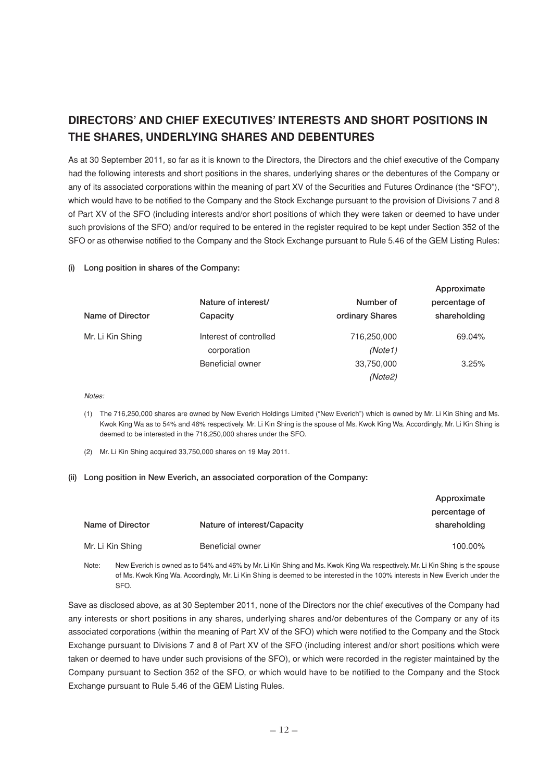# **DIRECTORS' AND CHIEF EXECUTIVES' INTERESTS AND SHORT POSITIONS IN THE SHARES, UNDERLYING SHARES AND DEBENTURES**

As at 30 September 2011, so far as it is known to the Directors, the Directors and the chief executive of the Company had the following interests and short positions in the shares, underlying shares or the debentures of the Company or any of its associated corporations within the meaning of part XV of the Securities and Futures Ordinance (the "SFO"), which would have to be notified to the Company and the Stock Exchange pursuant to the provision of Divisions 7 and 8 of Part XV of the SFO (including interests and/or short positions of which they were taken or deemed to have under such provisions of the SFO) and/or required to be entered in the register required to be kept under Section 352 of the SFO or as otherwise notified to the Company and the Stock Exchange pursuant to Rule 5.46 of the GEM Listing Rules:

#### **(i) Long position in shares of the Company:**

|                  |                        |                 | Approximate   |
|------------------|------------------------|-----------------|---------------|
|                  | Nature of interest/    | Number of       | percentage of |
| Name of Director | Capacity               | ordinary Shares | shareholding  |
| Mr. Li Kin Shing | Interest of controlled | 716,250,000     | 69.04%        |
|                  | corporation            | (Note1)         |               |
|                  | Beneficial owner       | 33,750,000      | 3.25%         |
|                  |                        | (Note2)         |               |

**Approximate**

#### Notes:

- (1) The 716,250,000 shares are owned by New Everich Holdings Limited ("New Everich") which is owned by Mr. Li Kin Shing and Ms. Kwok King Wa as to 54% and 46% respectively. Mr. Li Kin Shing is the spouse of Ms. Kwok King Wa. Accordingly, Mr. Li Kin Shing is deemed to be interested in the 716,250,000 shares under the SFO.
- (2) Mr. Li Kin Shing acquired 33,750,000 shares on 19 May 2011.

#### **(ii) Long position in New Everich, an associated corporation of the Company:**

|                  |                             | Approximate   |
|------------------|-----------------------------|---------------|
|                  |                             | percentage of |
| Name of Director | Nature of interest/Capacity | shareholding  |
| Mr. Li Kin Shing | Beneficial owner            | 100.00%       |

Note: New Everich is owned as to 54% and 46% by Mr. Li Kin Shing and Ms. Kwok King Wa respectively. Mr. Li Kin Shing is the spouse of Ms. Kwok King Wa. Accordingly, Mr. Li Kin Shing is deemed to be interested in the 100% interests in New Everich under the SFO.

Save as disclosed above, as at 30 September 2011, none of the Directors nor the chief executives of the Company had any interests or short positions in any shares, underlying shares and/or debentures of the Company or any of its associated corporations (within the meaning of Part XV of the SFO) which were notified to the Company and the Stock Exchange pursuant to Divisions 7 and 8 of Part XV of the SFO (including interest and/or short positions which were taken or deemed to have under such provisions of the SFO), or which were recorded in the register maintained by the Company pursuant to Section 352 of the SFO, or which would have to be notified to the Company and the Stock Exchange pursuant to Rule 5.46 of the GEM Listing Rules.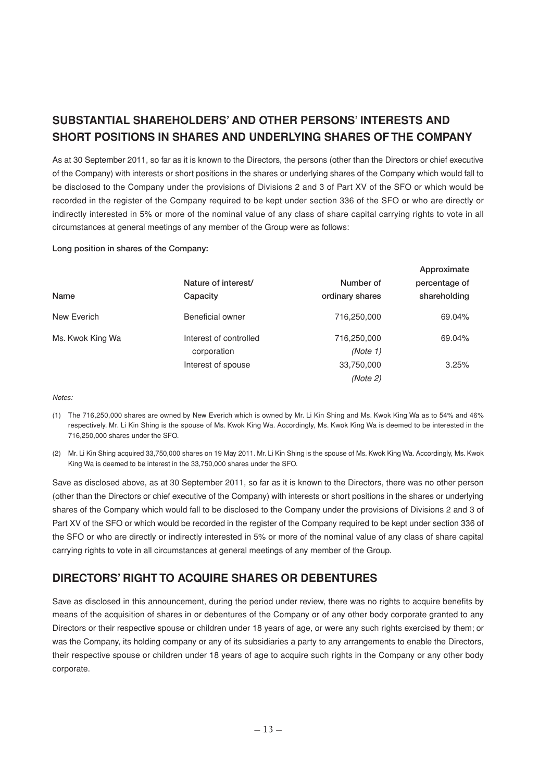# **SUBSTANTIAL SHAREHOLDERS' AND OTHER PERSONS' INTERESTS AND SHORT POSITIONS IN SHARES AND UNDERLYING SHARES OF THE COMPANY**

As at 30 September 2011, so far as it is known to the Directors, the persons (other than the Directors or chief executive of the Company) with interests or short positions in the shares or underlying shares of the Company which would fall to be disclosed to the Company under the provisions of Divisions 2 and 3 of Part XV of the SFO or which would be recorded in the register of the Company required to be kept under section 336 of the SFO or who are directly or indirectly interested in 5% or more of the nominal value of any class of share capital carrying rights to vote in all circumstances at general meetings of any member of the Group were as follows:

**Long position in shares of the Company:**

|                  |                        |                 | Approximate   |
|------------------|------------------------|-----------------|---------------|
|                  | Nature of interest/    | Number of       | percentage of |
| Name             | Capacity               | ordinary shares | shareholding  |
| New Everich      | Beneficial owner       | 716,250,000     | 69.04%        |
| Ms. Kwok King Wa | Interest of controlled | 716,250,000     | 69.04%        |
|                  | corporation            | (Note 1)        |               |
|                  | Interest of spouse     | 33,750,000      | 3.25%         |
|                  |                        | (Note 2)        |               |

#### Notes:

- (1) The 716,250,000 shares are owned by New Everich which is owned by Mr. Li Kin Shing and Ms. Kwok King Wa as to 54% and 46% respectively. Mr. Li Kin Shing is the spouse of Ms. Kwok King Wa. Accordingly, Ms. Kwok King Wa is deemed to be interested in the 716,250,000 shares under the SFO.
- (2) Mr. Li Kin Shing acquired 33,750,000 shares on 19 May 2011. Mr. Li Kin Shing is the spouse of Ms. Kwok King Wa. Accordingly, Ms. Kwok King Wa is deemed to be interest in the 33,750,000 shares under the SFO.

Save as disclosed above, as at 30 September 2011, so far as it is known to the Directors, there was no other person (other than the Directors or chief executive of the Company) with interests or short positions in the shares or underlying shares of the Company which would fall to be disclosed to the Company under the provisions of Divisions 2 and 3 of Part XV of the SFO or which would be recorded in the register of the Company required to be kept under section 336 of the SFO or who are directly or indirectly interested in 5% or more of the nominal value of any class of share capital carrying rights to vote in all circumstances at general meetings of any member of the Group.

## **DIRECTORS' RIGHT TO ACQUIRE SHARES OR DEBENTURES**

Save as disclosed in this announcement, during the period under review, there was no rights to acquire benefits by means of the acquisition of shares in or debentures of the Company or of any other body corporate granted to any Directors or their respective spouse or children under 18 years of age, or were any such rights exercised by them; or was the Company, its holding company or any of its subsidiaries a party to any arrangements to enable the Directors, their respective spouse or children under 18 years of age to acquire such rights in the Company or any other body corporate.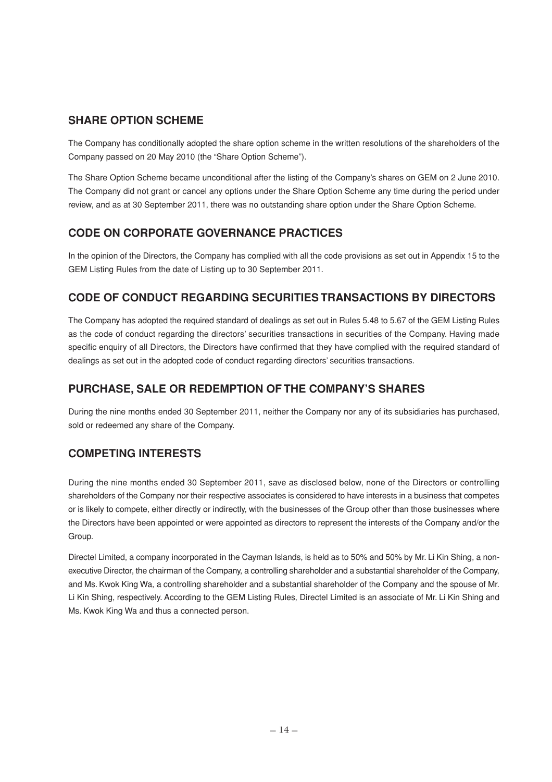# **SHARE OPTION SCHEME**

The Company has conditionally adopted the share option scheme in the written resolutions of the shareholders of the Company passed on 20 May 2010 (the "Share Option Scheme").

The Share Option Scheme became unconditional after the listing of the Company's shares on GEM on 2 June 2010. The Company did not grant or cancel any options under the Share Option Scheme any time during the period under review, and as at 30 September 2011, there was no outstanding share option under the Share Option Scheme.

## **CODE ON CORPORATE GOVERNANCE PRACTICES**

In the opinion of the Directors, the Company has complied with all the code provisions as set out in Appendix 15 to the GEM Listing Rules from the date of Listing up to 30 September 2011.

# **CODE OF CONDUCT REGARDING SECURITIES TRANSACTIONS BY DIRECTORS**

The Company has adopted the required standard of dealings as set out in Rules 5.48 to 5.67 of the GEM Listing Rules as the code of conduct regarding the directors' securities transactions in securities of the Company. Having made specific enquiry of all Directors, the Directors have confirmed that they have complied with the required standard of dealings as set out in the adopted code of conduct regarding directors' securities transactions.

# **PURCHASE, SALE OR REDEMPTION OF THE COMPANY'S SHARES**

During the nine months ended 30 September 2011, neither the Company nor any of its subsidiaries has purchased, sold or redeemed any share of the Company.

## **COMPETING INTERESTS**

During the nine months ended 30 September 2011, save as disclosed below, none of the Directors or controlling shareholders of the Company nor their respective associates is considered to have interests in a business that competes or is likely to compete, either directly or indirectly, with the businesses of the Group other than those businesses where the Directors have been appointed or were appointed as directors to represent the interests of the Company and/or the Group.

Directel Limited, a company incorporated in the Cayman Islands, is held as to 50% and 50% by Mr. Li Kin Shing, a nonexecutive Director, the chairman of the Company, a controlling shareholder and a substantial shareholder of the Company, and Ms. Kwok King Wa, a controlling shareholder and a substantial shareholder of the Company and the spouse of Mr. Li Kin Shing, respectively. According to the GEM Listing Rules, Directel Limited is an associate of Mr. Li Kin Shing and Ms. Kwok King Wa and thus a connected person.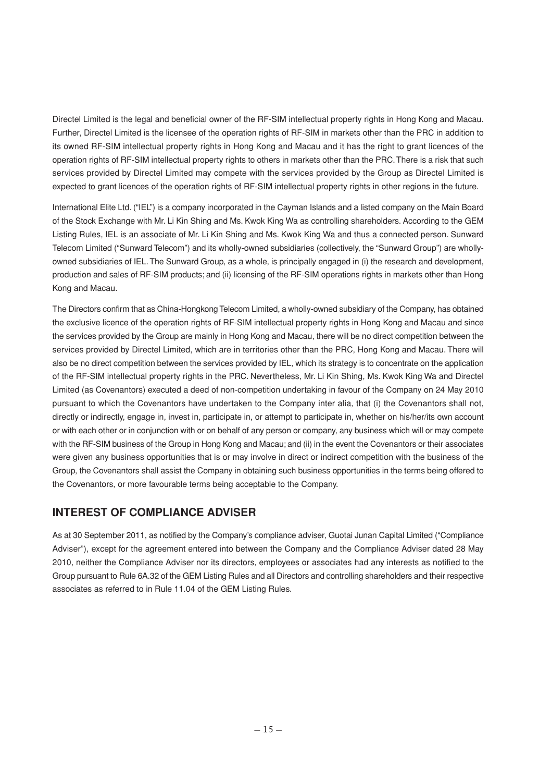Directel Limited is the legal and beneficial owner of the RF-SIM intellectual property rights in Hong Kong and Macau. Further, Directel Limited is the licensee of the operation rights of RF-SIM in markets other than the PRC in addition to its owned RF-SIM intellectual property rights in Hong Kong and Macau and it has the right to grant licences of the operation rights of RF-SIM intellectual property rights to others in markets other than the PRC. There is a risk that such services provided by Directel Limited may compete with the services provided by the Group as Directel Limited is expected to grant licences of the operation rights of RF-SIM intellectual property rights in other regions in the future.

International Elite Ltd. ("IEL") is a company incorporated in the Cayman Islands and a listed company on the Main Board of the Stock Exchange with Mr. Li Kin Shing and Ms. Kwok King Wa as controlling shareholders. According to the GEM Listing Rules, IEL is an associate of Mr. Li Kin Shing and Ms. Kwok King Wa and thus a connected person. Sunward Telecom Limited ("Sunward Telecom") and its wholly-owned subsidiaries (collectively, the "Sunward Group") are whollyowned subsidiaries of IEL. The Sunward Group, as a whole, is principally engaged in (i) the research and development, production and sales of RF-SIM products; and (ii) licensing of the RF-SIM operations rights in markets other than Hong Kong and Macau.

The Directors confirm that as China-Hongkong Telecom Limited, a wholly-owned subsidiary of the Company, has obtained the exclusive licence of the operation rights of RF-SIM intellectual property rights in Hong Kong and Macau and since the services provided by the Group are mainly in Hong Kong and Macau, there will be no direct competition between the services provided by Directel Limited, which are in territories other than the PRC. Hong Kong and Macau. There will also be no direct competition between the services provided by IEL, which its strategy is to concentrate on the application of the RF-SIM intellectual property rights in the PRC. Nevertheless, Mr. Li Kin Shing, Ms. Kwok King Wa and Directel Limited (as Covenantors) executed a deed of non-competition undertaking in favour of the Company on 24 May 2010 pursuant to which the Covenantors have undertaken to the Company inter alia, that (i) the Covenantors shall not, directly or indirectly, engage in, invest in, participate in, or attempt to participate in, whether on his/her/its own account or with each other or in conjunction with or on behalf of any person or company, any business which will or may compete with the RF-SIM business of the Group in Hong Kong and Macau; and (ii) in the event the Covenantors or their associates were given any business opportunities that is or may involve in direct or indirect competition with the business of the Group, the Covenantors shall assist the Company in obtaining such business opportunities in the terms being offered to the Covenantors, or more favourable terms being acceptable to the Company.

## **INTEREST OF COMPLIANCE ADVISER**

As at 30 September 2011, as notified by the Company's compliance adviser, Guotai Junan Capital Limited ("Compliance Adviser"), except for the agreement entered into between the Company and the Compliance Adviser dated 28 May 2010, neither the Compliance Adviser nor its directors, employees or associates had any interests as notified to the Group pursuant to Rule 6A.32 of the GEM Listing Rules and all Directors and controlling shareholders and their respective associates as referred to in Rule 11.04 of the GEM Listing Rules.